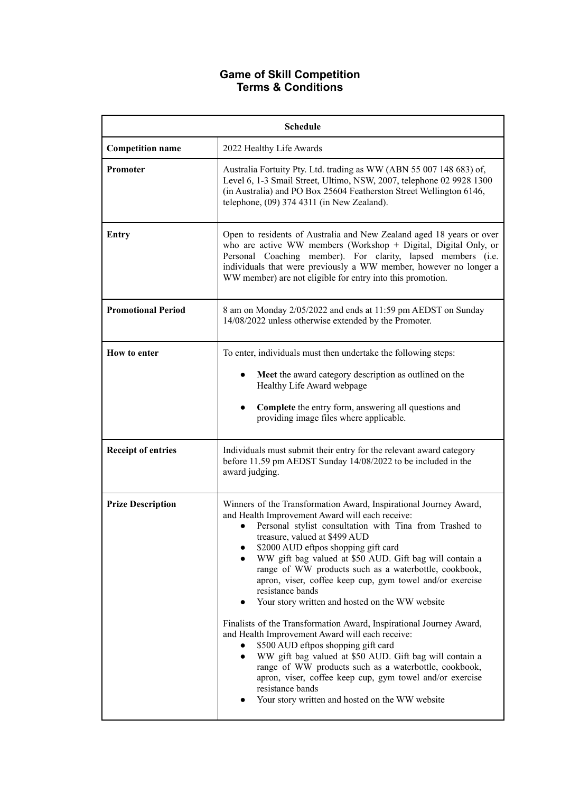# **Game of Skill Competition Terms & Conditions**

| <b>Schedule</b>           |                                                                                                                                                                                                                                                                                                                                                                                                                                                                                                                                                                                                                                                                                                                                                                                                                                                                                                                                         |
|---------------------------|-----------------------------------------------------------------------------------------------------------------------------------------------------------------------------------------------------------------------------------------------------------------------------------------------------------------------------------------------------------------------------------------------------------------------------------------------------------------------------------------------------------------------------------------------------------------------------------------------------------------------------------------------------------------------------------------------------------------------------------------------------------------------------------------------------------------------------------------------------------------------------------------------------------------------------------------|
| <b>Competition name</b>   | 2022 Healthy Life Awards                                                                                                                                                                                                                                                                                                                                                                                                                                                                                                                                                                                                                                                                                                                                                                                                                                                                                                                |
| Promoter                  | Australia Fortuity Pty. Ltd. trading as WW (ABN 55 007 148 683) of,<br>Level 6, 1-3 Smail Street, Ultimo, NSW, 2007, telephone 02 9928 1300<br>(in Australia) and PO Box 25604 Featherston Street Wellington 6146,<br>telephone, $(09)$ 374 4311 (in New Zealand).                                                                                                                                                                                                                                                                                                                                                                                                                                                                                                                                                                                                                                                                      |
| <b>Entry</b>              | Open to residents of Australia and New Zealand aged 18 years or over<br>who are active WW members (Workshop + Digital, Digital Only, or<br>Personal Coaching member). For clarity, lapsed members (i.e.<br>individuals that were previously a WW member, however no longer a<br>WW member) are not eligible for entry into this promotion.                                                                                                                                                                                                                                                                                                                                                                                                                                                                                                                                                                                              |
| <b>Promotional Period</b> | 8 am on Monday 2/05/2022 and ends at 11:59 pm AEDST on Sunday<br>14/08/2022 unless otherwise extended by the Promoter.                                                                                                                                                                                                                                                                                                                                                                                                                                                                                                                                                                                                                                                                                                                                                                                                                  |
| How to enter              | To enter, individuals must then undertake the following steps:<br>Meet the award category description as outlined on the<br>Healthy Life Award webpage<br>Complete the entry form, answering all questions and<br>providing image files where applicable.                                                                                                                                                                                                                                                                                                                                                                                                                                                                                                                                                                                                                                                                               |
| <b>Receipt of entries</b> | Individuals must submit their entry for the relevant award category<br>before 11.59 pm AEDST Sunday 14/08/2022 to be included in the<br>award judging.                                                                                                                                                                                                                                                                                                                                                                                                                                                                                                                                                                                                                                                                                                                                                                                  |
| <b>Prize Description</b>  | Winners of the Transformation Award, Inspirational Journey Award,<br>and Health Improvement Award will each receive:<br>Personal stylist consultation with Tina from Trashed to<br>treasure, valued at \$499 AUD<br>\$2000 AUD eftpos shopping gift card<br>WW gift bag valued at \$50 AUD. Gift bag will contain a<br>range of WW products such as a waterbottle, cookbook,<br>apron, viser, coffee keep cup, gym towel and/or exercise<br>resistance bands<br>Your story written and hosted on the WW website<br>Finalists of the Transformation Award, Inspirational Journey Award,<br>and Health Improvement Award will each receive:<br>\$500 AUD eftpos shopping gift card<br>WW gift bag valued at \$50 AUD. Gift bag will contain a<br>range of WW products such as a waterbottle, cookbook,<br>apron, viser, coffee keep cup, gym towel and/or exercise<br>resistance bands<br>Your story written and hosted on the WW website |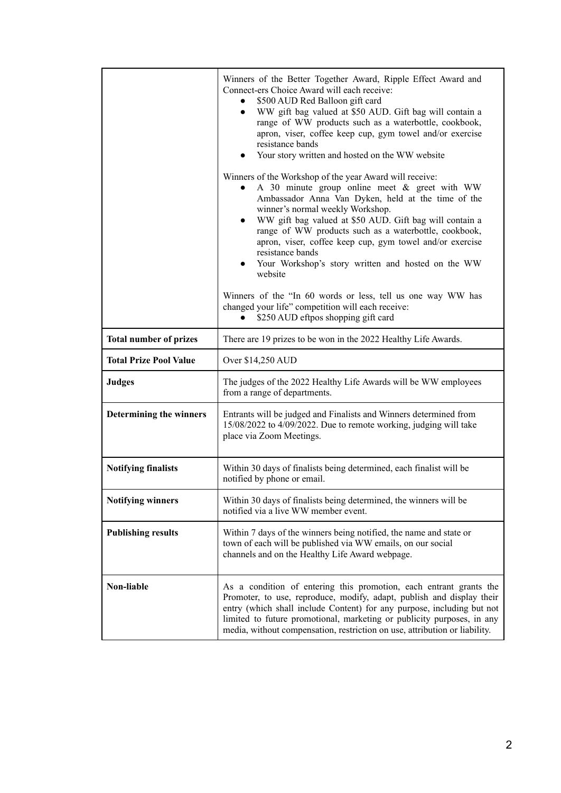|                               | Winners of the Better Together Award, Ripple Effect Award and<br>Connect-ers Choice Award will each receive:<br>\$500 AUD Red Balloon gift card<br>$\bullet$<br>WW gift bag valued at \$50 AUD. Gift bag will contain a<br>$\bullet$<br>range of WW products such as a waterbottle, cookbook,<br>apron, viser, coffee keep cup, gym towel and/or exercise<br>resistance bands<br>Your story written and hosted on the WW website                                           |
|-------------------------------|----------------------------------------------------------------------------------------------------------------------------------------------------------------------------------------------------------------------------------------------------------------------------------------------------------------------------------------------------------------------------------------------------------------------------------------------------------------------------|
|                               | Winners of the Workshop of the year Award will receive:<br>A 30 minute group online meet $\&$ greet with WW<br>Ambassador Anna Van Dyken, held at the time of the<br>winner's normal weekly Workshop.<br>WW gift bag valued at \$50 AUD. Gift bag will contain a<br>range of WW products such as a waterbottle, cookbook,<br>apron, viser, coffee keep cup, gym towel and/or exercise<br>resistance bands<br>Your Workshop's story written and hosted on the WW<br>website |
|                               | Winners of the "In 60 words or less, tell us one way WW has<br>changed your life" competition will each receive:<br>\$250 AUD eftpos shopping gift card                                                                                                                                                                                                                                                                                                                    |
| <b>Total number of prizes</b> | There are 19 prizes to be won in the 2022 Healthy Life Awards.                                                                                                                                                                                                                                                                                                                                                                                                             |
| <b>Total Prize Pool Value</b> | Over \$14,250 AUD                                                                                                                                                                                                                                                                                                                                                                                                                                                          |
| <b>Judges</b>                 | The judges of the 2022 Healthy Life Awards will be WW employees<br>from a range of departments.                                                                                                                                                                                                                                                                                                                                                                            |
| Determining the winners       | Entrants will be judged and Finalists and Winners determined from<br>15/08/2022 to 4/09/2022. Due to remote working, judging will take<br>place via Zoom Meetings.                                                                                                                                                                                                                                                                                                         |
| <b>Notifying finalists</b>    | Within 30 days of finalists being determined, each finalist will be<br>notified by phone or email.                                                                                                                                                                                                                                                                                                                                                                         |
| <b>Notifying winners</b>      | Within 30 days of finalists being determined, the winners will be<br>notified via a live WW member event.                                                                                                                                                                                                                                                                                                                                                                  |
| <b>Publishing results</b>     | Within 7 days of the winners being notified, the name and state or<br>town of each will be published via WW emails, on our social<br>channels and on the Healthy Life Award webpage.                                                                                                                                                                                                                                                                                       |
| Non-liable                    | As a condition of entering this promotion, each entrant grants the<br>Promoter, to use, reproduce, modify, adapt, publish and display their<br>entry (which shall include Content) for any purpose, including but not<br>limited to future promotional, marketing or publicity purposes, in any<br>media, without compensation, restriction on use, attribution or liability.                                                                                              |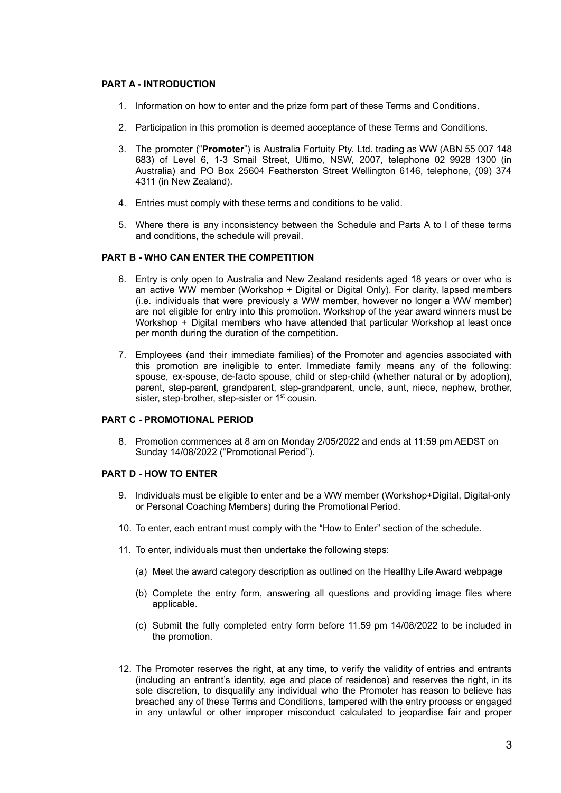# **PART A - INTRODUCTION**

- 1. Information on how to enter and the prize form part of these Terms and Conditions.
- 2. Participation in this promotion is deemed acceptance of these Terms and Conditions.
- 3. The promoter ("**Promoter**") is Australia Fortuity Pty. Ltd. trading as WW (ABN 55 007 148 683) of Level 6, 1-3 Smail Street, Ultimo, NSW, 2007, telephone 02 9928 1300 (in Australia) and PO Box 25604 Featherston Street Wellington 6146, telephone, (09) 374 4311 (in New Zealand).
- 4. Entries must comply with these terms and conditions to be valid.
- 5. Where there is any inconsistency between the Schedule and Parts A to I of these terms and conditions, the schedule will prevail.

#### **PART B - WHO CAN ENTER THE COMPETITION**

- 6. Entry is only open to Australia and New Zealand residents aged 18 years or over who is an active WW member (Workshop + Digital or Digital Only). For clarity, lapsed members (i.e. individuals that were previously a WW member, however no longer a WW member) are not eligible for entry into this promotion. Workshop of the year award winners must be Workshop + Digital members who have attended that particular Workshop at least once per month during the duration of the competition.
- 7. Employees (and their immediate families) of the Promoter and agencies associated with this promotion are ineligible to enter. Immediate family means any of the following: spouse, ex-spouse, de-facto spouse, child or step-child (whether natural or by adoption), parent, step-parent, grandparent, step-grandparent, uncle, aunt, niece, nephew, brother, sister, step-brother, step-sister or 1<sup>st</sup> cousin.

# **PART C - PROMOTIONAL PERIOD**

8. Promotion commences at 8 am on Monday 2/05/2022 and ends at 11:59 pm AEDST on Sunday 14/08/2022 ("Promotional Period").

#### **PART D - HOW TO ENTER**

- 9. Individuals must be eligible to enter and be a WW member (Workshop+Digital, Digital-only or Personal Coaching Members) during the Promotional Period.
- 10. To enter, each entrant must comply with the "How to Enter" section of the schedule.
- 11. To enter, individuals must then undertake the following steps:
	- (a) Meet the award category description as outlined on the Healthy Life Award webpage
	- (b) Complete the entry form, answering all questions and providing image files where applicable.
	- (c) Submit the fully completed entry form before 11.59 pm 14/08/2022 to be included in the promotion.
- 12. The Promoter reserves the right, at any time, to verify the validity of entries and entrants (including an entrant's identity, age and place of residence) and reserves the right, in its sole discretion, to disqualify any individual who the Promoter has reason to believe has breached any of these Terms and Conditions, tampered with the entry process or engaged in any unlawful or other improper misconduct calculated to jeopardise fair and proper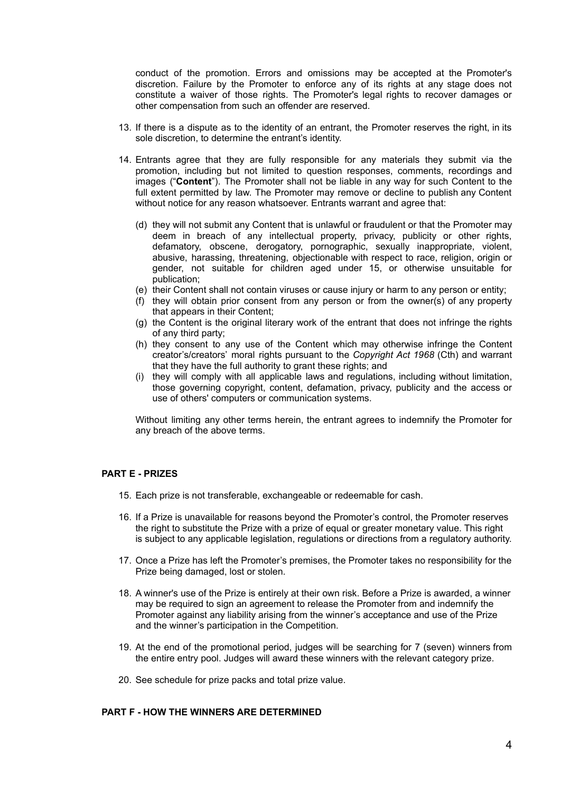conduct of the promotion. Errors and omissions may be accepted at the Promoter's discretion. Failure by the Promoter to enforce any of its rights at any stage does not constitute a waiver of those rights. The Promoter's legal rights to recover damages or other compensation from such an offender are reserved.

- 13. If there is a dispute as to the identity of an entrant, the Promoter reserves the right, in its sole discretion, to determine the entrant's identity.
- 14. Entrants agree that they are fully responsible for any materials they submit via the promotion, including but not limited to question responses, comments, recordings and images ("**Content**"). The Promoter shall not be liable in any way for such Content to the full extent permitted by law. The Promoter may remove or decline to publish any Content without notice for any reason whatsoever. Entrants warrant and agree that:
	- (d) they will not submit any Content that is unlawful or fraudulent or that the Promoter may deem in breach of any intellectual property, privacy, publicity or other rights, defamatory, obscene, derogatory, pornographic, sexually inappropriate, violent, abusive, harassing, threatening, objectionable with respect to race, religion, origin or gender, not suitable for children aged under 15, or otherwise unsuitable for publication;
	- (e) their Content shall not contain viruses or cause injury or harm to any person or entity;
	- (f) they will obtain prior consent from any person or from the owner(s) of any property that appears in their Content;
	- (g) the Content is the original literary work of the entrant that does not infringe the rights of any third party;
	- (h) they consent to any use of the Content which may otherwise infringe the Content creator's/creators' moral rights pursuant to the *Copyright Act 1968* (Cth) and warrant that they have the full authority to grant these rights; and
	- (i) they will comply with all applicable laws and regulations, including without limitation, those governing copyright, content, defamation, privacy, publicity and the access or use of others' computers or communication systems.

Without limiting any other terms herein, the entrant agrees to indemnify the Promoter for any breach of the above terms.

#### **PART E - PRIZES**

- 15. Each prize is not transferable, exchangeable or redeemable for cash.
- 16. If a Prize is unavailable for reasons beyond the Promoter's control, the Promoter reserves the right to substitute the Prize with a prize of equal or greater monetary value. This right is subject to any applicable legislation, regulations or directions from a regulatory authority.
- 17. Once a Prize has left the Promoter's premises, the Promoter takes no responsibility for the Prize being damaged, lost or stolen.
- 18. A winner's use of the Prize is entirely at their own risk. Before a Prize is awarded, a winner may be required to sign an agreement to release the Promoter from and indemnify the Promoter against any liability arising from the winner's acceptance and use of the Prize and the winner's participation in the Competition.
- 19. At the end of the promotional period, judges will be searching for 7 (seven) winners from the entire entry pool. Judges will award these winners with the relevant category prize.
- 20. See schedule for prize packs and total prize value.

# **PART F - HOW THE WINNERS ARE DETERMINED**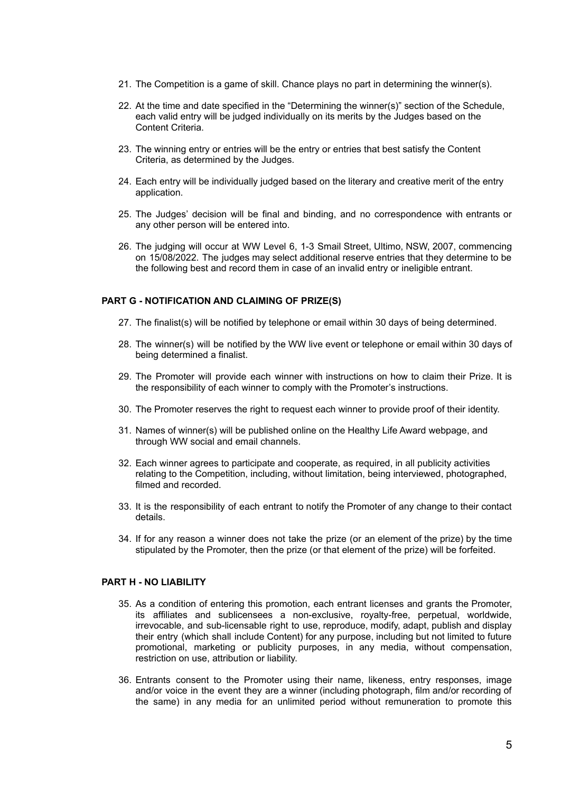- 21. The Competition is a game of skill. Chance plays no part in determining the winner(s).
- 22. At the time and date specified in the "Determining the winner(s)" section of the Schedule, each valid entry will be judged individually on its merits by the Judges based on the Content Criteria.
- 23. The winning entry or entries will be the entry or entries that best satisfy the Content Criteria, as determined by the Judges.
- 24. Each entry will be individually judged based on the literary and creative merit of the entry application.
- 25. The Judges' decision will be final and binding, and no correspondence with entrants or any other person will be entered into.
- 26. The judging will occur at WW Level 6, 1-3 Smail Street, Ultimo, NSW, 2007, commencing on 15/08/2022. The judges may select additional reserve entries that they determine to be the following best and record them in case of an invalid entry or ineligible entrant.

#### **PART G - NOTIFICATION AND CLAIMING OF PRIZE(S)**

- 27. The finalist(s) will be notified by telephone or email within 30 days of being determined.
- 28. The winner(s) will be notified by the WW live event or telephone or email within 30 days of being determined a finalist.
- 29. The Promoter will provide each winner with instructions on how to claim their Prize. It is the responsibility of each winner to comply with the Promoter's instructions.
- 30. The Promoter reserves the right to request each winner to provide proof of their identity.
- 31. Names of winner(s) will be published online on the Healthy Life Award webpage, and through WW social and email channels.
- 32. Each winner agrees to participate and cooperate, as required, in all publicity activities relating to the Competition, including, without limitation, being interviewed, photographed, filmed and recorded.
- 33. It is the responsibility of each entrant to notify the Promoter of any change to their contact details.
- 34. If for any reason a winner does not take the prize (or an element of the prize) by the time stipulated by the Promoter, then the prize (or that element of the prize) will be forfeited.

# **PART H - NO LIABILITY**

- 35. As a condition of entering this promotion, each entrant licenses and grants the Promoter, its affiliates and sublicensees a non-exclusive, royalty-free, perpetual, worldwide, irrevocable, and sub-licensable right to use, reproduce, modify, adapt, publish and display their entry (which shall include Content) for any purpose, including but not limited to future promotional, marketing or publicity purposes, in any media, without compensation, restriction on use, attribution or liability.
- 36. Entrants consent to the Promoter using their name, likeness, entry responses, image and/or voice in the event they are a winner (including photograph, film and/or recording of the same) in any media for an unlimited period without remuneration to promote this